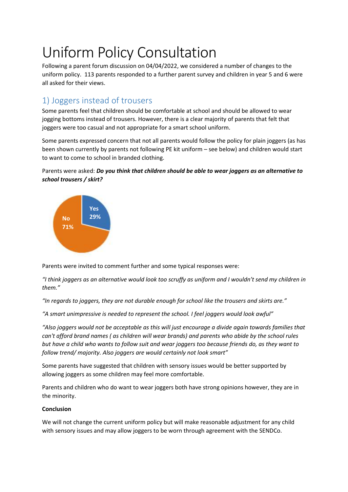# Uniform Policy Consultation

Following a parent forum discussion on 04/04/2022, we considered a number of changes to the uniform policy. 113 parents responded to a further parent survey and children in year 5 and 6 were all asked for their views.

# 1) Joggers instead of trousers

Some parents feel that children should be comfortable at school and should be allowed to wear jogging bottoms instead of trousers. However, there is a clear majority of parents that felt that joggers were too casual and not appropriate for a smart school uniform.

Some parents expressed concern that not all parents would follow the policy for plain joggers (as has been shown currently by parents not following PE kit uniform – see below) and children would start to want to come to school in branded clothing.

## Parents were asked: *Do you think that children should be able to wear joggers as an alternative to school trousers / skirt?*



Parents were invited to comment further and some typical responses were:

*"I think joggers as an alternative would look too scruffy as uniform and I wouldn't send my children in them."*

*"In regards to joggers, they are not durable enough for school like the trousers and skirts are."*

*"A smart unimpressive is needed to represent the school. I feel joggers would look awful"*

*"Also joggers would not be acceptable as this will just encourage a divide again towards families that can't afford brand names ( as children will wear brands) and parents who abide by the school rules but have a child who wants to follow suit and wear joggers too because friends do, as they want to follow trend/ majority. Also joggers are would certainly not look smart"*

Some parents have suggested that children with sensory issues would be better supported by allowing joggers as some children may feel more comfortable.

Parents and children who do want to wear joggers both have strong opinions however, they are in the minority.

## **Conclusion**

We will not change the current uniform policy but will make reasonable adjustment for any child with sensory issues and may allow joggers to be worn through agreement with the SENDCo.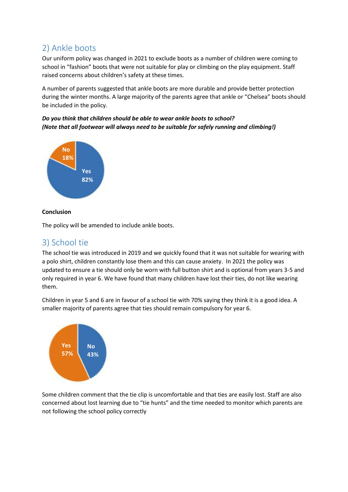# 2) Ankle boots

Our uniform policy was changed in 2021 to exclude boots as a number of children were coming to school in "fashion" boots that were not suitable for play or climbing on the play equipment. Staff raised concerns about children's safety at these times.

A number of parents suggested that ankle boots are more durable and provide better protection during the winter months. A large majority of the parents agree that ankle or "Chelsea" boots should be included in the policy.

## *Do you think that children should be able to wear ankle boots to school? (Note that all footwear will always need to be suitable for safely running and climbing!)*



## **Conclusion**

The policy will be amended to include ankle boots.

## 3) School tie

The school tie was introduced in 2019 and we quickly found that it was not suitable for wearing with a polo shirt, children constantly lose them and this can cause anxiety. In 2021 the policy was updated to ensure a tie should only be worn with full button shirt and is optional from years 3-5 and only required in year 6. We have found that many children have lost their ties, do not like wearing them.

Children in year 5 and 6 are in favour of a school tie with 70% saying they think it is a good idea. A smaller majority of parents agree that ties should remain compulsory for year 6.



Some children comment that the tie clip is uncomfortable and that ties are easily lost. Staff are also concerned about lost learning due to "tie hunts" and the time needed to monitor which parents are not following the school policy correctly